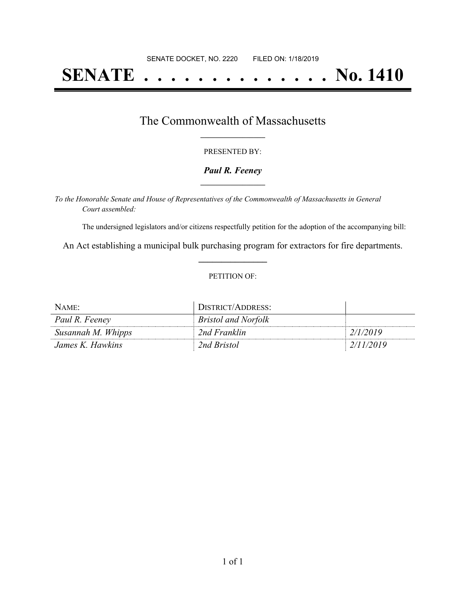# **SENATE . . . . . . . . . . . . . . No. 1410**

### The Commonwealth of Massachusetts **\_\_\_\_\_\_\_\_\_\_\_\_\_\_\_\_\_**

#### PRESENTED BY:

#### *Paul R. Feeney* **\_\_\_\_\_\_\_\_\_\_\_\_\_\_\_\_\_**

*To the Honorable Senate and House of Representatives of the Commonwealth of Massachusetts in General Court assembled:*

The undersigned legislators and/or citizens respectfully petition for the adoption of the accompanying bill:

An Act establishing a municipal bulk purchasing program for extractors for fire departments. **\_\_\_\_\_\_\_\_\_\_\_\_\_\_\_**

#### PETITION OF:

| NAME:              | DISTRICT/ADDRESS:          |           |
|--------------------|----------------------------|-----------|
| Paul R. Feeney     | <b>Bristol and Norfolk</b> |           |
| Susannah M. Whipps | 2nd Franklin               | 2/1/2019  |
| James K. Hawkins   | 2nd Bristol                | 2/11/2019 |